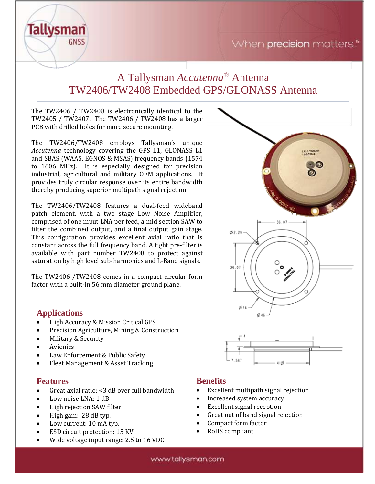



# A Tallysman *Accutenna®* Antenna TW2406/TW2408 Embedded GPS/GLONASS Antenna

The TW2406 / TW2408 is electronically identical to the TW2405 / TW2407. The TW2406 / TW2408 has a larger PCB with drilled holes for more secure mounting.

The TW2406/TW2408 employs Tallysman's unique *Accutenna* technology covering the GPS L1, GLONASS L1 and SBAS (WAAS, EGNOS & MSAS) frequency bands (1574 to 1606 MHz). It is especially designed for precision industrial, agricultural and military OEM applications. It provides truly circular response over its entire bandwidth thereby producing superior multipath signal rejection.

The TW2406/TW2408 features a dual-feed wideband patch element, with a two stage Low Noise Amplifier, comprised of one input LNA per feed, a mid section SAW to filter the combined output, and a final output gain stage. This configuration provides excellent axial ratio that is constant across the full frequency band. A tight pre-filter is available with part number TW2408 to protect against saturation by high level sub-harmonics and L-Band signals.

The TW2406 /TW2408 comes in a compact circular form factor with a built-in 56 mm diameter ground plane.

# **Applications**

- High Accuracy & Mission Critical GPS
- Precision Agriculture, Mining & Construction
- Military & Security
- **Avionics**
- Law Enforcement & Public Safety
- Fleet Management & Asset Tracking

#### **Features**

- Great axial ratio: <3 dB over full bandwidth
- Low noise LNA: 1 dB
- High rejection SAW filter
- High gain: 28 dB typ.
- Low current: 10 mA typ.
- ESD circuit protection: 15 KV
- Wide voltage input range: 2.5 to 16 VDC



# **Benefits**

- Excellent multipath signal rejection
- Increased system accuracy
- Excellent signal reception
- Great out of band signal rejection
- Compact form factor
- RoHS compliant